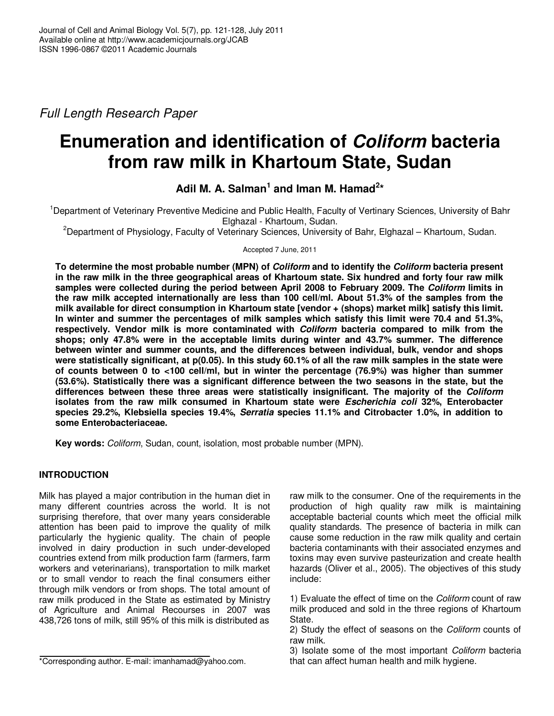Full Length Research Paper

# **Enumeration and identification of Coliform bacteria from raw milk in Khartoum State, Sudan**

Adil M. A. Salman<sup>1</sup> and Iman M. Hamad<sup>2\*</sup>

<sup>1</sup>Department of Veterinary Preventive Medicine and Public Health, Faculty of Vertinary Sciences, University of Bahr Elghazal - Khartoum, Sudan.

<sup>2</sup>Department of Physiology, Faculty of Veterinary Sciences, University of Bahr, Elghazal – Khartoum, Sudan.

Accepted 7 June, 2011

**To determine the most probable number (MPN) of Coliform and to identify the Coliform bacteria present in the raw milk in the three geographical areas of Khartoum state. Six hundred and forty four raw milk samples were collected during the period between April 2008 to February 2009. The Coliform limits in the raw milk accepted internationally are less than 100 cell/ml. About 51.3% of the samples from the milk available for direct consumption in Khartoum state [vendor + (shops) market milk] satisfy this limit. In winter and summer the percentages of milk samples which satisfy this limit were 70.4 and 51.3%, respectively. Vendor milk is more contaminated with Coliform bacteria compared to milk from the shops; only 47.8% were in the acceptable limits during winter and 43.7% summer. The difference between winter and summer counts, and the differences between individual, bulk, vendor and shops were statistically significant, at p(0.05). In this study 60.1% of all the raw milk samples in the state were of counts between 0 to <100 cell/ml, but in winter the percentage (76.9%) was higher than summer (53.6%). Statistically there was a significant difference between the two seasons in the state, but the differences between these three areas were statistically insignificant. The majority of the Coliform isolates from the raw milk consumed in Khartoum state were Escherichia coli 32%, Enterobacter species 29.2%, Klebsiella species 19.4%, Serratia species 11.1% and Citrobacter 1.0%, in addition to some Enterobacteriaceae.** 

**Key words:** Coliform, Sudan, count, isolation, most probable number (MPN).

## **INTRODUCTION**

Milk has played a major contribution in the human diet in many different countries across the world. It is not surprising therefore, that over many years considerable attention has been paid to improve the quality of milk particularly the hygienic quality. The chain of people involved in dairy production in such under-developed countries extend from milk production farm (farmers, farm workers and veterinarians), transportation to milk market or to small vendor to reach the final consumers either through milk vendors or from shops. The total amount of raw milk produced in the State as estimated by Ministry of Agriculture and Animal Recourses in 2007 was 438,726 tons of milk, still 95% of this milk is distributed as

raw milk to the consumer. One of the requirements in the production of high quality raw milk is maintaining acceptable bacterial counts which meet the official milk quality standards. The presence of bacteria in milk can cause some reduction in the raw milk quality and certain bacteria contaminants with their associated enzymes and toxins may even survive pasteurization and create health hazards (Oliver et al., 2005). The objectives of this study include:

1) Evaluate the effect of time on the Coliform count of raw milk produced and sold in the three regions of Khartoum State.

3) Isolate some of the most important Coliform bacteria that can affect human health and milk hygiene.

<sup>2)</sup> Study the effect of seasons on the Coliform counts of raw milk.

<sup>\*</sup>Corresponding author. E-mail: imanhamad@yahoo.com.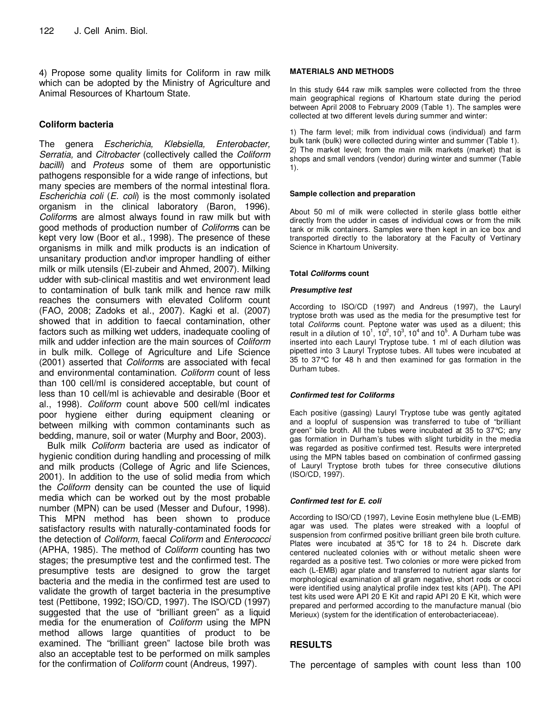4) Propose some quality limits for Coliform in raw milk which can be adopted by the Ministry of Agriculture and Animal Resources of Khartoum State.

### **Coliform bacteria**

The genera Escherichia, Klebsiella, Enterobacter, Serratia, and Citrobacter (collectively called the Coliform bacilli) and Proteus some of them are opportunistic pathogens responsible for a wide range of infections, but many species are members of the normal intestinal flora. Escherichia coli (E. coli) is the most commonly isolated organism in the clinical laboratory (Baron, 1996). Coliforms are almost always found in raw milk but with good methods of production number of Coliforms can be kept very low (Boor et al., 1998). The presence of these organisms in milk and milk products is an indication of unsanitary production and\or improper handling of either milk or milk utensils (El-zubeir and Ahmed, 2007). Milking udder with sub-clinical mastitis and wet environment lead to contamination of bulk tank milk and hence raw milk reaches the consumers with elevated Coliform count (FAO, 2008; Zadoks et al., 2007). Kagki et al. (2007) showed that in addition to faecal contamination, other factors such as milking wet udders, inadequate cooling of milk and udder infection are the main sources of Coliform in bulk milk. College of Agriculture and Life Science (2001) asserted that Coliforms are associated with fecal and environmental contamination. Coliform count of less than 100 cell/ml is considered acceptable, but count of less than 10 cell/ml is achievable and desirable (Boor et al., 1998). Coliform count above 500 cell/ml indicates poor hygiene either during equipment cleaning or between milking with common contaminants such as bedding, manure, soil or water (Murphy and Boor, 2003).

Bulk milk Coliform bacteria are used as indicator of hygienic condition during handling and processing of milk and milk products (College of Agric and life Sciences, 2001). In addition to the use of solid media from which the Coliform density can be counted the use of liquid media which can be worked out by the most probable number (MPN) can be used (Messer and Dufour, 1998). This MPN method has been shown to produce satisfactory results with naturally-contaminated foods for the detection of Coliform, faecal Coliform and Enterococci (APHA, 1985). The method of Coliform counting has two stages; the presumptive test and the confirmed test. The presumptive tests are designed to grow the target bacteria and the media in the confirmed test are used to validate the growth of target bacteria in the presumptive test (Pettibone, 1992; ISO/CD, 1997). The ISO/CD (1997) suggested that the use of "brilliant green" as a liquid media for the enumeration of Coliform using the MPN method allows large quantities of product to be examined. The "brilliant green" lactose bile broth was also an acceptable test to be performed on milk samples for the confirmation of Coliform count (Andreus, 1997).

#### **MATERIALS AND METHODS**

In this study 644 raw milk samples were collected from the three main geographical regions of Khartoum state during the period between April 2008 to February 2009 (Table 1). The samples were collected at two different levels during summer and winter:

1) The farm level; milk from individual cows (individual) and farm bulk tank (bulk) were collected during winter and summer (Table 1). 2) The market level; from the main milk markets (market) that is shops and small vendors (vendor) during winter and summer (Table 1).

#### **Sample collection and preparation**

About 50 ml of milk were collected in sterile glass bottle either directly from the udder in cases of individual cows or from the milk tank or milk containers. Samples were then kept in an ice box and transported directly to the laboratory at the Faculty of Vertinary Science in Khartoum University.

#### **Total Coliforms count**

#### **Presumptive test**

According to ISO/CD (1997) and Andreus (1997), the Lauryl tryptose broth was used as the media for the presumptive test for total Coliforms count. Peptone water was used as a diluent; this result in a dilution of 10<sup>1</sup>, 10<sup>2</sup>, 10<sup>3</sup>, 10<sup>4</sup> and 10<sup>5</sup>. A Durham tube was inserted into each Lauryl Tryptose tube. 1 ml of each dilution was pipetted into 3 Lauryl Tryptose tubes. All tubes were incubated at 35 to 37°C for 48 h and then examined for gas formation in the Durham tubes.

#### **Confirmed test for Coliforms**

Each positive (gassing) Lauryl Tryptose tube was gently agitated and a loopful of suspension was transferred to tube of "brilliant green" bile broth. All the tubes were incubated at 35 to 37°C; any gas formation in Durham's tubes with slight turbidity in the media was regarded as positive confirmed test. Results were interpreted using the MPN tables based on combination of confirmed gassing of Lauryl Tryptose broth tubes for three consecutive dilutions (ISO/CD, 1997).

#### **Confirmed test for E. coli**

According to ISO/CD (1997), Levine Eosin methylene blue (L-EMB) agar was used. The plates were streaked with a loopful of suspension from confirmed positive brilliant green bile broth culture. Plates were incubated at 35°C for 18 to 24 h. Discrete dark centered nucleated colonies with or without metalic sheen were regarded as a positive test. Two colonies or more were picked from each (L-EMB) agar plate and transferred to nutrient agar slants for morphological examination of all gram negative, short rods or cocci were identified using analytical profile index test kits (API). The API test kits used were API 20 E Kit and rapid API 20 E Kit, which were prepared and performed according to the manufacture manual (bio Merieux) (system for the identification of enterobacteriaceae).

#### **RESULTS**

The percentage of samples with count less than 100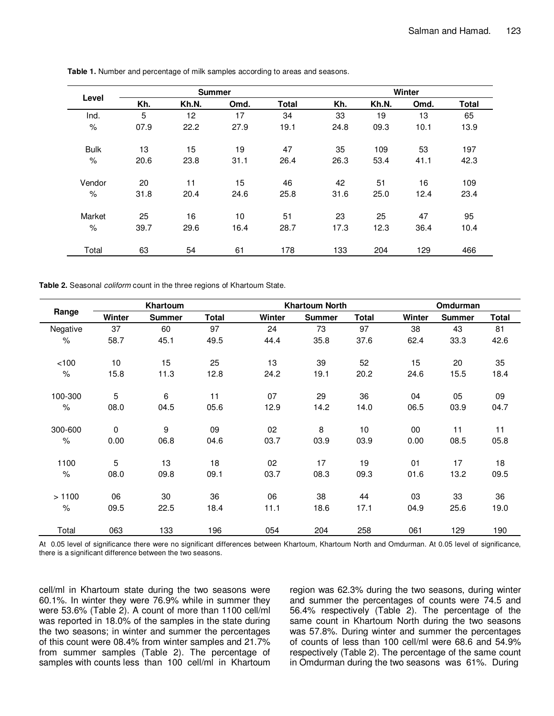| Level       |      | <b>Summer</b> |      |              | Winter |       |      |              |  |
|-------------|------|---------------|------|--------------|--------|-------|------|--------------|--|
|             | Kh.  | Kh.N.         | Omd. | <b>Total</b> | Kh.    | Kh.N. | Omd. | <b>Total</b> |  |
| Ind.        | 5    | 12            | 17   | 34           | 33     | 19    | 13   | 65           |  |
| $\%$        | 07.9 | 22.2          | 27.9 | 19.1         | 24.8   | 09.3  | 10.1 | 13.9         |  |
| <b>Bulk</b> | 13   | 15            | 19   | 47           | 35     | 109   | 53   | 197          |  |
| $\%$        | 20.6 | 23.8          | 31.1 | 26.4         | 26.3   | 53.4  | 41.1 | 42.3         |  |
| Vendor      | 20   | 11            | 15   | 46           | 42     | 51    | 16   | 109          |  |
| $\%$        | 31.8 | 20.4          | 24.6 | 25.8         | 31.6   | 25.0  | 12.4 | 23.4         |  |
| Market      | 25   | 16            | 10   | 51           | 23     | 25    | 47   | 95           |  |
| $\%$        | 39.7 | 29.6          | 16.4 | 28.7         | 17.3   | 12.3  | 36.4 | 10.4         |  |
| Total       | 63   | 54            | 61   | 178          | 133    | 204   | 129  | 466          |  |

**Table 1.** Number and percentage of milk samples according to areas and seasons.

**Table 2.** Seasonal coliform count in the three regions of Khartoum State.

| Range    | Khartoum    |               |              |        | <b>Khartoum North</b> |       | Omdurman |               |              |
|----------|-------------|---------------|--------------|--------|-----------------------|-------|----------|---------------|--------------|
|          | Winter      | <b>Summer</b> | <b>Total</b> | Winter | <b>Summer</b>         | Total | Winter   | <b>Summer</b> | <b>Total</b> |
| Negative | 37          | 60            | 97           | 24     | 73                    | 97    | 38       | 43            | 81           |
| $\%$     | 58.7        | 45.1          | 49.5         | 44.4   | 35.8                  | 37.6  | 62.4     | 33.3          | 42.6         |
| < 100    | 10          | 15            | 25           | 13     | 39                    | 52    | 15       | 20            | 35           |
| $\%$     | 15.8        | 11.3          | 12.8         | 24.2   | 19.1                  | 20.2  | 24.6     | 15.5          | 18.4         |
| 100-300  | 5           | 6             | 11           | 07     | 29                    | 36    | 04       | 05            | 09           |
| $\%$     | 08.0        | 04.5          | 05.6         | 12.9   | 14.2                  | 14.0  | 06.5     | 03.9          | 04.7         |
| 300-600  | $\mathbf 0$ | 9             | 09           | 02     | 8                     | 10    | 00       | 11            | 11           |
| $\%$     | 0.00        | 06.8          | 04.6         | 03.7   | 03.9                  | 03.9  | 0.00     | 08.5          | 05.8         |
| 1100     | 5           | 13            | 18           | 02     | 17                    | 19    | 01       | 17            | 18           |
| $\%$     | 08.0        | 09.8          | 09.1         | 03.7   | 08.3                  | 09.3  | 01.6     | 13.2          | 09.5         |
| >1100    | 06          | 30            | 36           | 06     | 38                    | 44    | 03       | 33            | 36           |
| $\%$     | 09.5        | 22.5          | 18.4         | 11.1   | 18.6                  | 17.1  | 04.9     | 25.6          | 19.0         |
| Total    | 063         | 133           | 196          | 054    | 204                   | 258   | 061      | 129           | 190          |

At 0.05 level of significance there were no significant differences between Khartoum, Khartoum North and Omdurman. At 0.05 level of significance, there is a significant difference between the two seasons.

cell/ml in Khartoum state during the two seasons were 60.1%. In winter they were 76.9% while in summer they were 53.6% (Table 2). A count of more than 1100 cell/ml was reported in 18.0% of the samples in the state during the two seasons; in winter and summer the percentages of this count were 08.4% from winter samples and 21.7% from summer samples (Table 2). The percentage of samples with counts less than 100 cell/ml in Khartoum region was 62.3% during the two seasons, during winter and summer the percentages of counts were 74.5 and 56.4% respectively (Table 2). The percentage of the same count in Khartoum North during the two seasons was 57.8%. During winter and summer the percentages of counts of less than 100 cell/ml were 68.6 and 54.9% respectively (Table 2). The percentage of the same count in Omdurman during the two seasons was 61%. During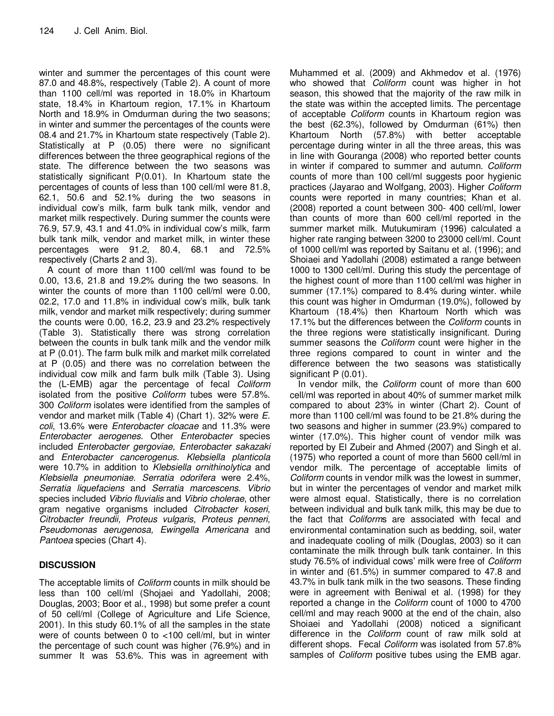winter and summer the percentages of this count were 87.0 and 48.8%, respectively (Table 2). A count of more than 1100 cell/ml was reported in 18.0% in Khartoum state, 18.4% in Khartoum region, 17.1% in Khartoum North and 18.9% in Omdurman during the two seasons; in winter and summer the percentages of the counts were 08.4 and 21.7% in Khartoum state respectively (Table 2). Statistically at P (0.05) there were no significant differences between the three geographical regions of the state. The difference between the two seasons was statistically significant P(0.01). In Khartoum state the percentages of counts of less than 100 cell/ml were 81.8, 62.1, 50.6 and 52.1% during the two seasons in individual cow's milk, farm bulk tank milk, vendor and market milk respectively. During summer the counts were 76.9, 57.9, 43.1 and 41.0% in individual cow's milk, farm bulk tank milk, vendor and market milk, in winter these percentages were 91.2, 80.4, 68.1 and 72.5% respectively (Charts 2 and 3).

A count of more than 1100 cell/ml was found to be 0.00, 13.6, 21.8 and 19.2% during the two seasons. In winter the counts of more than 1100 cell/ml were 0.00, 02.2, 17.0 and 11.8% in individual cow's milk, bulk tank milk, vendor and market milk respectively; during summer the counts were 0.00, 16.2, 23.9 and 23.2% respectively (Table 3). Statistically there was strong correlation between the counts in bulk tank milk and the vendor milk at P (0.01). The farm bulk milk and market milk correlated at P (0.05) and there was no correlation between the individual cow milk and farm bulk milk (Table 3). Using the (L-EMB) agar the percentage of fecal Coliform isolated from the positive Coliform tubes were 57.8%. 300 Coliform isolates were identified from the samples of vendor and market milk (Table 4) (Chart 1). 32% were E. coli, 13.6% were Enterobacter cloacae and 11.3% were Enterobacter aerogenes. Other Enterobacter species included Enterobacter gergoviae, Enterobacter sakazaki and Enterobacter cancerogenus. Klebsiella planticola were 10.7% in addition to Klebsiella ornithinolytica and Klebsiella pneumoniae. Serratia odorifera were 2.4%, Serratia liquefaciens and Serratia marcescens. Vibrio species included Vibrio fluvialis and Vibrio cholerae, other gram negative organisms included Citrobacter koseri, Citrobacter freundii, Proteus vulgaris, Proteus penneri, Pseudomonas aerugenosa, Ewingella Americana and Pantoea species (Chart 4).

## **DISCUSSION**

The acceptable limits of *Coliform* counts in milk should be less than 100 cell/ml (Shojaei and Yadollahi, 2008; Douglas, 2003; Boor et al., 1998) but some prefer a count of 50 cell/ml (College of Agriculture and Life Science, 2001). In this study 60.1% of all the samples in the state were of counts between 0 to <100 cell/ml, but in winter the percentage of such count was higher (76.9%) and in summer It was 53.6%. This was in agreement with

Muhammed et al. (2009) and Akhmedov et al. (1976) who showed that *Coliform* count was higher in hot season, this showed that the majority of the raw milk in the state was within the accepted limits. The percentage of acceptable Coliform counts in Khartoum region was the best (62.3%), followed by Omdurman (61%) then Khartoum North (57.8%) with better acceptable percentage during winter in all the three areas, this was in line with Gouranga (2008) who reported better counts in winter if compared to summer and autumn. Coliform counts of more than 100 cell/ml suggests poor hygienic practices (Jayarao and Wolfgang, 2003). Higher Coliform counts were reported in many countries; Khan et al. (2008) reported a count between 300- 400 cell/ml, lower than counts of more than 600 cell/ml reported in the summer market milk. Mutukumiram (1996) calculated a higher rate ranging between 3200 to 23000 cell/ml. Count of 1000 cell/ml was reported by Saitanu et al. (1996); and Shoiaei and Yadollahi (2008) estimated a range between 1000 to 1300 cell/ml. During this study the percentage of the highest count of more than 1100 cell/ml was higher in summer (17.1%) compared to 8.4% during winter. while this count was higher in Omdurman (19.0%), followed by Khartoum (18.4%) then Khartoum North which was 17.1% but the differences between the Coliform counts in the three regions were statistically insignificant. During summer seasons the Coliform count were higher in the three regions compared to count in winter and the difference between the two seasons was statistically significant P (0.01).

In vendor milk, the *Coliform* count of more than 600 cell/ml was reported in about 40% of summer market milk compared to about 23% in winter (Chart 2). Count of more than 1100 cell/ml was found to be 21.8% during the two seasons and higher in summer (23.9%) compared to winter (17.0%). This higher count of vendor milk was reported by El Zubeir and Ahmed (2007) and Singh et al. (1975) who reported a count of more than 5600 cell/ml in vendor milk. The percentage of acceptable limits of Coliform counts in vendor milk was the lowest in summer, but in winter the percentages of vendor and market milk were almost equal. Statistically, there is no correlation between individual and bulk tank milk, this may be due to the fact that Coliforms are associated with fecal and environmental contamination such as bedding, soil, water and inadequate cooling of milk (Douglas, 2003) so it can contaminate the milk through bulk tank container. In this study 76.5% of individual cows' milk were free of Coliform in winter and (61.5%) in summer compared to 47.8 and 43.7% in bulk tank milk in the two seasons. These finding were in agreement with Beniwal et al. (1998) for they reported a change in the Coliform count of 1000 to 4700 cell/ml and may reach 9000 at the end of the chain, also Shoiaei and Yadollahi (2008) noticed a significant difference in the Coliform count of raw milk sold at different shops. Fecal Coliform was isolated from 57.8% samples of *Coliform* positive tubes using the EMB agar.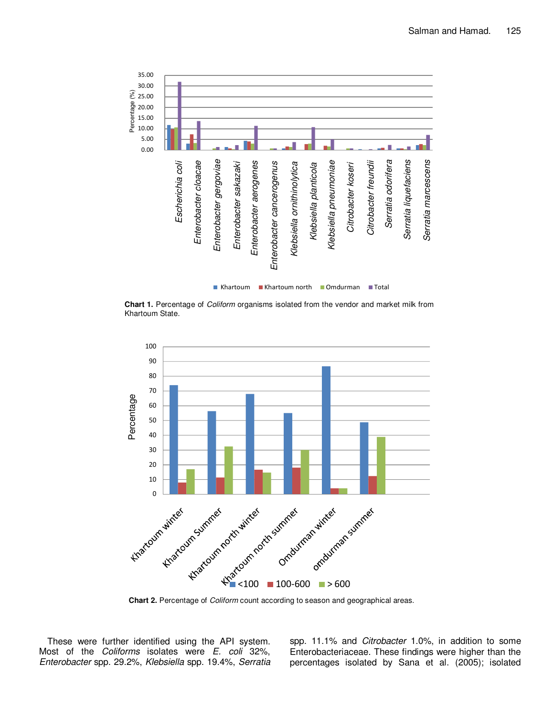

**Chart 1.** Percentage of Coliform organisms isolated from the vendor and market milk from Khartoum State.



**Chart 2.** Percentage of Coliform count according to season and geographical areas.

These were further identified using the API system. Most of the Coliforms isolates were E. coli 32%, Enterobacter spp. 29.2%, Klebsiella spp. 19.4%, Serratia spp. 11.1% and Citrobacter 1.0%, in addition to some Enterobacteriaceae. These findings were higher than the percentages isolated by Sana et al. (2005); isolated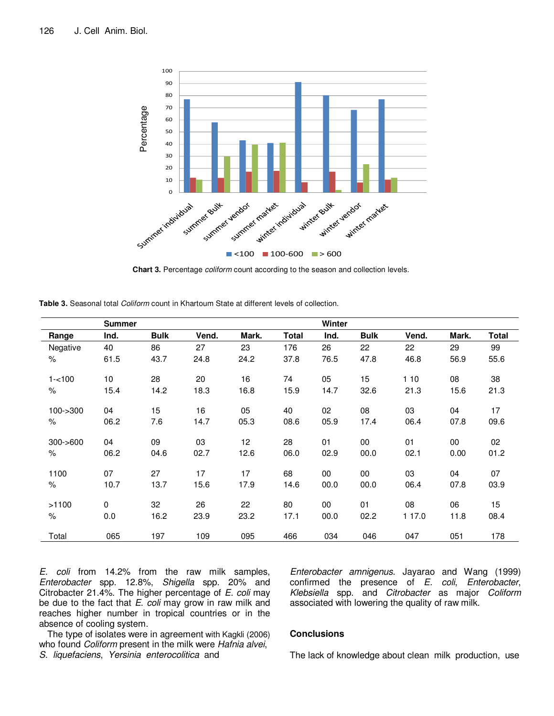

**Chart 3.** Percentage coliform count according to the season and collection levels.

|             | <b>Summer</b> |             |       |       |              | Winter |             |        |        |       |
|-------------|---------------|-------------|-------|-------|--------------|--------|-------------|--------|--------|-------|
| Range       | Ind.          | <b>Bulk</b> | Vend. | Mark. | <b>Total</b> | Ind.   | <b>Bulk</b> | Vend.  | Mark.  | Total |
| Negative    | 40            | 86          | 27    | 23    | 176          | 26     | 22          | 22     | 29     | 99    |
| $\%$        | 61.5          | 43.7        | 24.8  | 24.2  | 37.8         | 76.5   | 47.8        | 46.8   | 56.9   | 55.6  |
| $1 - 100$   | 10            | 28          | 20    | 16    | 74           | 05     | 15          | 110    | 08     | 38    |
| $\%$        | 15.4          | 14.2        | 18.3  | 16.8  | 15.9         | 14.7   | 32.6        | 21.3   | 15.6   | 21.3  |
| $100 - 300$ | 04            | 15          | 16    | 05    | 40           | 02     | 08          | 03     | 04     | 17    |
| $\%$        | 06.2          | 7.6         | 14.7  | 05.3  | 08.6         | 05.9   | 17.4        | 06.4   | 07.8   | 09.6  |
| $300 - 600$ | 04            | 09          | 03    | 12    | 28           | 01     | 00          | 01     | $00\,$ | 02    |
| $\%$        | 06.2          | 04.6        | 02.7  | 12.6  | 06.0         | 02.9   | 00.0        | 02.1   | 0.00   | 01.2  |
| 1100        | 07            | 27          | 17    | 17    | 68           | 00     | 00          | 03     | 04     | 07    |
| $\%$        | 10.7          | 13.7        | 15.6  | 17.9  | 14.6         | 00.0   | 00.0        | 06.4   | 07.8   | 03.9  |
| >1100       | 0             | 32          | 26    | 22    | 80           | 00     | 01          | 08     | 06     | 15    |
| $\%$        | 0.0           | 16.2        | 23.9  | 23.2  | 17.1         | 00.0   | 02.2        | 1 17.0 | 11.8   | 08.4  |
| Total       | 065           | 197         | 109   | 095   | 466          | 034    | 046         | 047    | 051    | 178   |

E. coli from 14.2% from the raw milk samples, Enterobacter spp. 12.8%, Shigella spp. 20% and Citrobacter 21.4%. The higher percentage of E. coli may be due to the fact that E. coli may grow in raw milk and reaches higher number in tropical countries or in the absence of cooling system.

Enterobacter amnigenus. Jayarao and Wang (1999) confirmed the presence of E. coli, Enterobacter, Klebsiella spp. and Citrobacter as major Coliform associated with lowering the quality of raw milk.

The type of isolates were in agreement with Kagkli (2006) who found *Coliform* present in the milk were Hafnia alvei, S. liquefaciens, Yersinia enterocolitica and

#### **Conclusions**

The lack of knowledge about clean milk production, use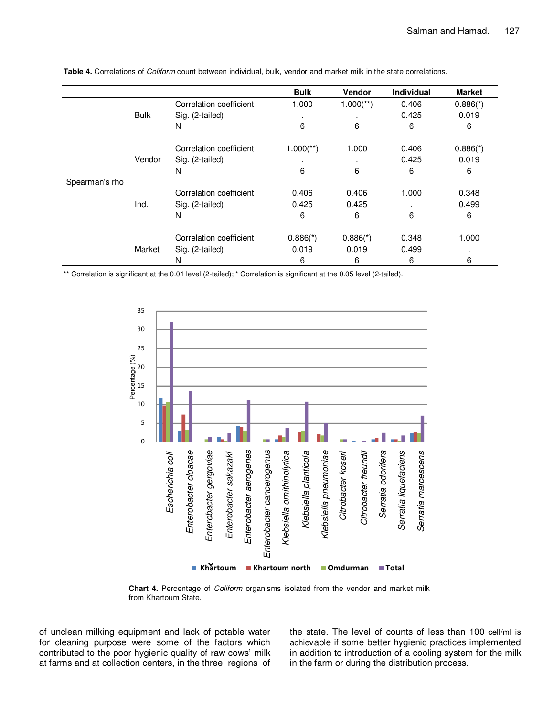|                |             |                         | <b>Bulk</b>             | <b>Vendor</b>           | <b>Individual</b> | <b>Market</b> |
|----------------|-------------|-------------------------|-------------------------|-------------------------|-------------------|---------------|
|                |             | Correlation coefficient | 1.000                   | $1.000$ <sup>**</sup> ) | 0.406             | $0.886(*)$    |
|                | <b>Bulk</b> | Sig. (2-tailed)         | ٠                       | $\blacksquare$          | 0.425             | 0.019         |
|                |             | N                       | 6                       | 6                       | 6                 | 6             |
|                |             | Correlation coefficient | $1.000$ <sup>**</sup> ) | 1.000                   | 0.406             | $0.886(*)$    |
|                | Vendor      | Sig. (2-tailed)         | ٠                       | $\blacksquare$          | 0.425             | 0.019         |
|                |             | N                       | 6                       | 6                       | 6                 | 6             |
| Spearman's rho |             |                         |                         |                         |                   |               |
|                |             | Correlation coefficient | 0.406                   | 0.406                   | 1.000             | 0.348         |
|                | Ind.        | Sig. (2-tailed)         | 0.425                   | 0.425                   |                   | 0.499         |
|                |             | N                       | 6                       | 6                       | 6                 | 6             |
|                |             | Correlation coefficient | $0.886$ <sup>*</sup> )  | $0.886(*)$              | 0.348             | 1.000         |
|                | Market      | Sig. (2-tailed)         | 0.019                   | 0.019                   | 0.499             |               |
|                |             | N                       | 6                       | 6                       | 6                 | 6             |

**Table 4.** Correlations of Coliform count between individual, bulk, vendor and market milk in the state correlations.

\*\* Correlation is significant at the 0.01 level (2-tailed); \* Correlation is significant at the 0.05 level (2-tailed).



**Chart 4.** Percentage of Coliform organisms isolated from the vendor and market milk from Khartoum State.

of unclean milking equipment and lack of potable water for cleaning purpose were some of the factors which contributed to the poor hygienic quality of raw cows' milk at farms and at collection centers, in the three regions of the state. The level of counts of less than 100 cell/ml is achievable if some better hygienic practices implemented in addition to introduction of a cooling system for the milk in the farm or during the distribution process.